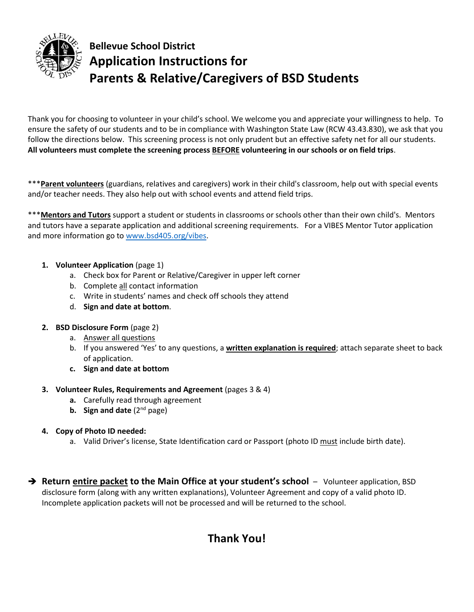

## **Bellevue School District Application Instructions for Parents & Relative/Caregivers of BSD Students**

Thank you for choosing to volunteer in your child's school. We welcome you and appreciate your willingness to help. To ensure the safety of our students and to be in compliance with Washington State Law (RCW 43.43.830), we ask that you follow the directions below. This screening process is not only prudent but an effective safety net for all our students. **All volunteers must complete the screening process BEFORE volunteering in our schools or on field trips**.

\*\*\***Parent volunteers** (guardians, relatives and caregivers) work in their child's classroom, help out with special events and/or teacher needs. They also help out with school events and attend field trips.

\*\*\***Mentors and Tutors** support a student or students in classrooms or schools other than their own child's. Mentors and tutors have a separate application and additional screening requirements. For a VIBES Mentor Tutor application and more information go to [www.bsd405.org/vibes.](http://www.bsd405.org/vibes)

### **1. Volunteer Application** (page 1)

- a. Check box for Parent or Relative/Caregiver in upper left corner
- b. Complete all contact information
- c. Write in students' names and check off schools they attend
- d. **Sign and date at bottom**.
- **2. BSD Disclosure Form** (page 2)
	- a. Answer all questions
	- b. If you answered 'Yes' to any questions, a **written explanation is required**; attach separate sheet to back of application.
	- **c. Sign and date at bottom**

#### **3. Volunteer Rules, Requirements and Agreement** (pages 3 & 4)

- **a.** Carefully read through agreement
- **b.** Sign and date (2<sup>nd</sup> page)

### **4. Copy of Photo ID needed:**

- a. Valid Driver's license, State Identification card or Passport (photo ID must include birth date).
- **Return entire packet to the Main Office at your student's school**  Volunteer application, BSD disclosure form (along with any written explanations), Volunteer Agreement and copy of a valid photo ID. Incomplete application packets will not be processed and will be returned to the school.

## **Thank You!**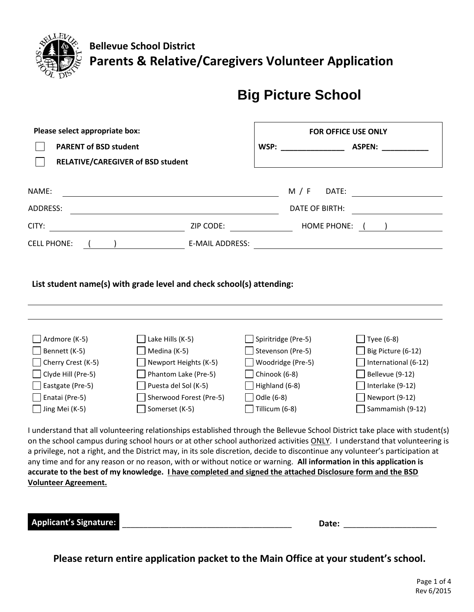

**Bellevue School District Parents & Relative/Caregivers Volunteer Application** 

# **Big Picture School**

| Please select appropriate box:    |                                                                                                                   |                     | FOR OFFICE USE ONLY                                                                                                            |  |  |
|-----------------------------------|-------------------------------------------------------------------------------------------------------------------|---------------------|--------------------------------------------------------------------------------------------------------------------------------|--|--|
| <b>PARENT of BSD student</b>      |                                                                                                                   | WSP:                | <b>ASPEN:</b>                                                                                                                  |  |  |
| RELATIVE/CAREGIVER of BSD student |                                                                                                                   |                     |                                                                                                                                |  |  |
|                                   |                                                                                                                   |                     |                                                                                                                                |  |  |
| NAME:                             |                                                                                                                   | M / F               | DATE:                                                                                                                          |  |  |
| <b>ADDRESS:</b>                   |                                                                                                                   |                     | <b>DATE OF BIRTH:</b>                                                                                                          |  |  |
| CITY:                             | ZIP CODE:                                                                                                         |                     | HOME PHONE: ( )                                                                                                                |  |  |
| <b>CELL PHONE:</b>                | E-MAIL ADDRESS:                                                                                                   |                     |                                                                                                                                |  |  |
|                                   |                                                                                                                   |                     |                                                                                                                                |  |  |
|                                   | List student name(s) with grade level and check school(s) attending:                                              |                     |                                                                                                                                |  |  |
|                                   |                                                                                                                   |                     |                                                                                                                                |  |  |
|                                   |                                                                                                                   |                     |                                                                                                                                |  |  |
|                                   |                                                                                                                   |                     |                                                                                                                                |  |  |
| Ardmore (K-5)                     | Lake Hills (K-5)                                                                                                  | Spiritridge (Pre-5) | Tyee (6-8)                                                                                                                     |  |  |
| Bennett (K-5)                     | Medina (K-5)                                                                                                      | Stevenson (Pre-5)   | Big Picture (6-12)                                                                                                             |  |  |
| Cherry Crest (K-5)                | Newport Heights (K-5)                                                                                             | Woodridge (Pre-5)   | International (6-12)                                                                                                           |  |  |
| Clyde Hill (Pre-5)                | Phantom Lake (Pre-5)                                                                                              | Chinook (6-8)       | Bellevue (9-12)                                                                                                                |  |  |
| Eastgate (Pre-5)                  | Puesta del Sol (K-5)                                                                                              | Highland (6-8)      | Interlake (9-12)                                                                                                               |  |  |
| Enatai (Pre-5)                    | Sherwood Forest (Pre-5)                                                                                           | Odle (6-8)          | Newport (9-12)                                                                                                                 |  |  |
| Jing Mei (K-5)                    | Somerset (K-5)                                                                                                    | Tillicum (6-8)      | Sammamish (9-12)                                                                                                               |  |  |
|                                   |                                                                                                                   |                     |                                                                                                                                |  |  |
|                                   |                                                                                                                   |                     | I understand that all volunteering relationships established through the Bellevue School District take place with student(s)   |  |  |
|                                   |                                                                                                                   |                     | on the school campus during school hours or at other school authorized activities ONLY. I understand that volunteering is      |  |  |
|                                   |                                                                                                                   |                     | a privilege, not a right, and the District may, in its sole discretion, decide to discontinue any volunteer's participation at |  |  |
|                                   |                                                                                                                   |                     | any time and for any reason or no reason, with or without notice or warning. All information in this application is            |  |  |
|                                   | accurate to the best of my knowledge. <i>I have completed and signed the attached Disclosure form and the BSD</i> |                     |                                                                                                                                |  |  |
| <b>Volunteer Agreement.</b>       |                                                                                                                   |                     |                                                                                                                                |  |  |

| - -<br><b>Applicant's Signature:</b><br>-- - - - - - - - - - - - - - - - - | ----- |
|----------------------------------------------------------------------------|-------|
|----------------------------------------------------------------------------|-------|

**Please return entire application packet to the Main Office at your student's school.**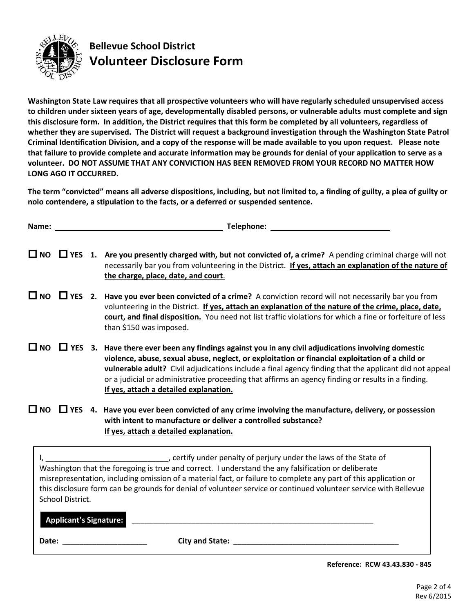

## **Bellevue School District Volunteer Disclosure Form**

**Washington State Law requires that all prospective volunteers who will have regularly scheduled unsupervised access to children under sixteen years of age, developmentally disabled persons, or vulnerable adults must complete and sign this disclosure form. In addition, the District requires that this form be completed by all volunteers, regardless of whether they are supervised. The District will request a background investigation through the Washington State Patrol Criminal Identification Division, and a copy of the response will be made available to you upon request. Please note that failure to provide complete and accurate information may be grounds for denial of your application to serve as a volunteer. DO NOT ASSUME THAT ANY CONVICTION HAS BEEN REMOVED FROM YOUR RECORD NO MATTER HOW LONG AGO IT OCCURRED.**

**The term "convicted" means all adverse dispositions, including, but not limited to, a finding of guilty, a plea of guilty or nolo contendere, a stipulation to the facts, or a deferred or suspended sentence.** 

|                  | <b>Telephone:</b> The contract of the contract of the contract of the contract of the contract of the contract of the contract of the contract of the contract of the contract of the contract of the contract of the contract of t<br>Name: We have a state of the state of the state of the state of the state of the state of the state of the state of the state of the state of the state of the state of the state of the state of the state of the state of th            |
|------------------|----------------------------------------------------------------------------------------------------------------------------------------------------------------------------------------------------------------------------------------------------------------------------------------------------------------------------------------------------------------------------------------------------------------------------------------------------------------------------------|
|                  | $\Box$ NO $\Box$ YES 1. Are you presently charged with, but not convicted of, a crime? A pending criminal charge will not<br>necessarily bar you from volunteering in the District. If yes, attach an explanation of the nature of<br>the charge, place, date, and court.                                                                                                                                                                                                        |
|                  | $\Box$ NO $\Box$ YES 2. Have you ever been convicted of a crime? A conviction record will not necessarily bar you from<br>volunteering in the District. If yes, attach an explanation of the nature of the crime, place, date,<br>court, and final disposition. You need not list traffic violations for which a fine or forfeiture of less<br>than \$150 was imposed.                                                                                                           |
|                  | $\Box$ NO $\Box$ YES 3. Have there ever been any findings against you in any civil adjudications involving domestic<br>violence, abuse, sexual abuse, neglect, or exploitation or financial exploitation of a child or<br>vulnerable adult? Civil adjudications include a final agency finding that the applicant did not appeal<br>or a judicial or administrative proceeding that affirms an agency finding or results in a finding.<br>If yes, attach a detailed explanation. |
|                  | $\Box$ NO $\Box$ YES 4. Have you ever been convicted of any crime involving the manufacture, delivery, or possession<br>with intent to manufacture or deliver a controlled substance?<br>If yes, attach a detailed explanation.                                                                                                                                                                                                                                                  |
| School District. | certify under penalty of perjury under the laws of the State of<br>Washington that the foregoing is true and correct. I understand the any falsification or deliberate<br>misrepresentation, including omission of a material fact, or failure to complete any part of this application or<br>this disclosure form can be grounds for denial of volunteer service or continued volunteer service with Bellevue                                                                   |

\_\_\_\_\_\_\_\_\_\_\_\_\_\_\_\_\_\_\_\_\_\_\_\_\_\_\_\_\_\_\_\_\_\_\_\_\_\_\_\_\_\_\_\_\_\_\_\_\_\_\_\_\_\_\_\_\_ **Applicant's Signature:**

**Date:** \_\_\_\_\_\_\_\_\_\_\_\_\_\_\_\_\_\_\_\_ **City and State:** \_\_\_\_\_\_\_\_\_\_\_\_\_\_\_\_\_\_\_\_\_\_\_\_\_\_\_\_\_\_\_\_\_\_\_\_\_\_\_

 **Reference: RCW 43.43.830 - 845**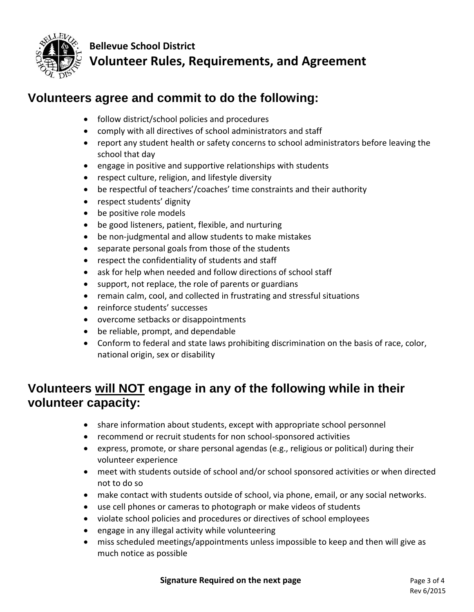

**Bellevue School District Volunteer Rules, Requirements, and Agreement**

## **Volunteers agree and commit to do the following:**

- follow district/school policies and procedures
- comply with all directives of school administrators and staff
- report any student health or safety concerns to school administrators before leaving the school that day
- engage in positive and supportive relationships with students
- respect culture, religion, and lifestyle diversity
- be respectful of teachers'/coaches' time constraints and their authority
- respect students' dignity
- be positive role models
- be good listeners, patient, flexible, and nurturing
- be non-judgmental and allow students to make mistakes
- separate personal goals from those of the students
- respect the confidentiality of students and staff
- ask for help when needed and follow directions of school staff
- support, not replace, the role of parents or guardians
- remain calm, cool, and collected in frustrating and stressful situations
- reinforce students' successes
- overcome setbacks or disappointments
- be reliable, prompt, and dependable
- Conform to federal and state laws prohibiting discrimination on the basis of race, color, national origin, sex or disability

## **Volunteers will NOT engage in any of the following while in their volunteer capacity:**

- share information about students, except with appropriate school personnel
- recommend or recruit students for non school-sponsored activities
- express, promote, or share personal agendas (e.g., religious or political) during their volunteer experience
- meet with students outside of school and/or school sponsored activities or when directed not to do so
- make contact with students outside of school, via phone, email, or any social networks.
- use cell phones or cameras to photograph or make videos of students
- violate school policies and procedures or directives of school employees
- engage in any illegal activity while volunteering
- miss scheduled meetings/appointments unless impossible to keep and then will give as much notice as possible